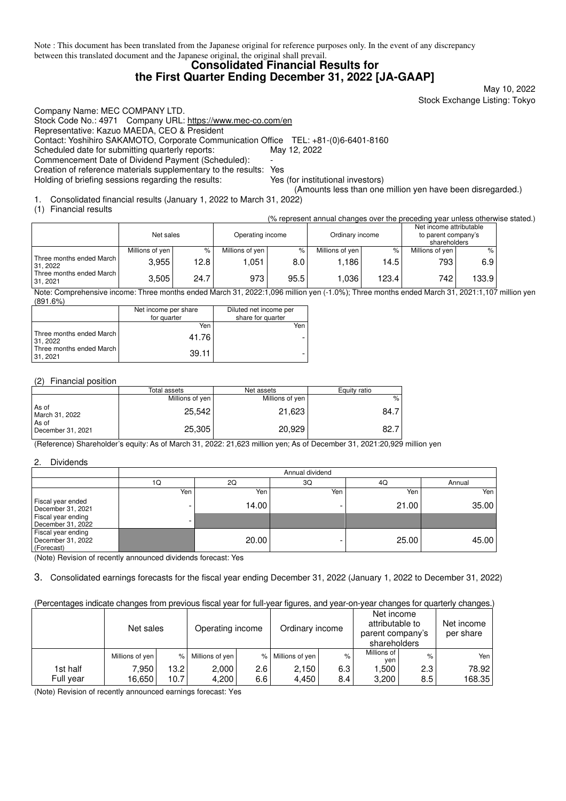Note : This document has been translated from the Japanese original for reference purposes only. In the event of any discrepancy between this translated document and the Japanese original, the original shall prevail.

### **Consolidated Financial Results for the First Quarter Ending December 31, 2022 [JA-GAAP]**

May 10, 2022 Stock Exchange Listing: Tokyo

Company Name: MEC COMPANY LTD. Stock Code No.: 4971 Company URL: https://www.mec-co.com/en Representative: Kazuo MAEDA, CEO & President Contact: Yoshihiro SAKAMOTO, Corporate Communication Office TEL: +81-(0)6-6401-8160 Scheduled date for submitting quarterly reports: May 12, 2022 Commencement Date of Dividend Payment (Scheduled): Creation of reference materials supplementary to the results: Yes Holding of briefing sessions regarding the results: Yes (for institutional investors)

(Amounts less than one million yen have been disregarded.)

1. Consolidated financial results (January 1, 2022 to March 31, 2022)

(1) Financial results

(% represent annual changes over the preceding year unless otherwise stated.)

|                                      | Net sales         |                   | Operating income  |      | Ordinary income |        | Net income attributable<br>to parent company's<br>shareholders |       |
|--------------------------------------|-------------------|-------------------|-------------------|------|-----------------|--------|----------------------------------------------------------------|-------|
|                                      | Millions of yen I | %                 | Millions of yen I | $\%$ | Millions of yen | $\%$ . | Millions of yen I                                              | $\%$  |
| Three months ended March<br>31, 2022 | 3.955             | 12.8 <sub>1</sub> | .051              | 8.0  | .186            | 14.5   | 793                                                            | 6.9   |
| Three months ended March<br>31.2021  | 3.505             | 24.7              | 973               | 95.5 | .036            | 123.4  | 742.                                                           | 133.9 |

Note: Comprehensive income: Three months ended March 31, 2022:1,096 million yen (-1.0%); Three months ended March 31, 2021:1,107 million yen (891.6%)

|                                     | Net income per share<br>for quarter | Diluted net income per<br>share for quarter |
|-------------------------------------|-------------------------------------|---------------------------------------------|
|                                     | Yen                                 | Yen                                         |
| Three months ended March<br>31.2022 | 41.76                               |                                             |
| Three months ended March<br>31.2021 | 39.11                               |                                             |

### (2) Financial position

|                            | Total assets    | Net assets      | Equity ratio |
|----------------------------|-----------------|-----------------|--------------|
|                            | Millions of yen | Millions of yen | $\%$         |
| As of<br>March 31, 2022    | 25.542          | 21,623          | 84.7         |
| As of<br>December 31, 2021 | 25,305          | 20.929          | 82.7         |

(Reference) Shareholder's equity: As of March 31, 2022: 21,623 million yen; As of December 31, 2021:20,929 million yen

### 2. Dividends

|                                                       | Annual dividend |       |     |       |        |  |
|-------------------------------------------------------|-----------------|-------|-----|-------|--------|--|
|                                                       | 1Q              | 2Q    | 3Q  | 40    | Annual |  |
|                                                       | Yen             | Yen   | Yen | Yen   | Yen I  |  |
| Fiscal year ended<br>December 31, 2021                |                 | 14.00 |     | 21.00 | 35.00  |  |
| Fiscal year ending<br>December 31, 2022               | -               |       |     |       |        |  |
| Fiscal year ending<br>December 31, 2022<br>(Forecast) |                 | 20.00 |     | 25.00 | 45.00  |  |

(Note) Revision of recently announced dividends forecast: Yes

3. Consolidated earnings forecasts for the fiscal year ending December 31, 2022 (January 1, 2022 to December 31, 2022)

### (Percentages indicate changes from previous fiscal year for full-year figures, and year-on-year changes for quarterly changes.)

|           | Net sales         |        | Operating income |     | Ordinary income   |      | Net income<br>attributable to<br>parent company's<br>shareholders |      | Net income<br>per share |
|-----------|-------------------|--------|------------------|-----|-------------------|------|-------------------------------------------------------------------|------|-------------------------|
|           | Millions of yen I | $\%$   | Millions of yen  |     | % Millions of yen | $\%$ | Millions of<br>yen                                                | $\%$ | Yen I                   |
| 1st half  | 7,950             | 13.2 l | 2,000            | 2.6 | 2.150             | 6.3  | .500                                                              | 2.3  | 78.92                   |
| Full year | 16.650            | 10.7   | 4,200            | 6.6 | 4.450             | 8.4  | 3,200                                                             | 8.5  | 168.35                  |

(Note) Revision of recently announced earnings forecast: Yes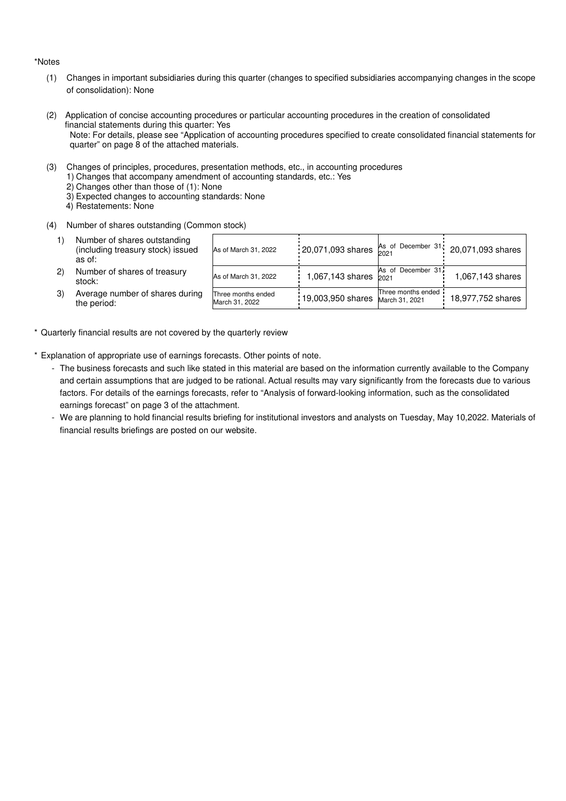#### \*Notes

- (1) Changes in important subsidiaries during this quarter (changes to specified subsidiaries accompanying changes in the scope of consolidation): None
- (2) Application of concise accounting procedures or particular accounting procedures in the creation of consolidated financial statements during this quarter: Yes Note: For details, please see "Application of accounting procedures specified to create consolidated financial statements for quarter" on page 8 of the attached materials.
- (3) Changes of principles, procedures, presentation methods, etc., in accounting procedures
	- 1) Changes that accompany amendment of accounting standards, etc.: Yes
		- 2) Changes other than those of (1): None
	- 3) Expected changes to accounting standards: None
	- 4) Restatements: None
- (4) Number of shares outstanding (Common stock)
	- 1) Number of shares outstanding (including treasury stock) issued as of:
	-
	- 3) Average number of shares during the period:

|    | Number of shares outstanding<br>(including treasury stock) issued<br>as of: | As of March 31, 2022                 | : 20,071,093 shares $\begin{array}{c} \n\text{As} \\ \n\text{2021} \n\end{array}$ December 31, 2 |                                      | 20,071,093 shares |
|----|-----------------------------------------------------------------------------|--------------------------------------|--------------------------------------------------------------------------------------------------|--------------------------------------|-------------------|
| 2) | Number of shares of treasury<br>stock:                                      | As of March 31, 2022                 | 1,067,143 shares                                                                                 | As of December 31.<br>2021           | 1.067,143 shares  |
| 3) | Average number of shares during<br>the period:                              | Three months ended<br>March 31, 2022 | 19,003,950 shares                                                                                | Three months ended<br>March 31, 2021 | 18,977,752 shares |

- \* Quarterly financial results are not covered by the quarterly review
- \* Explanation of appropriate use of earnings forecasts. Other points of note.
	- The business forecasts and such like stated in this material are based on the information currently available to the Company and certain assumptions that are judged to be rational. Actual results may vary significantly from the forecasts due to various factors. For details of the earnings forecasts, refer to "Analysis of forward-looking information, such as the consolidated earnings forecast" on page 3 of the attachment.
	- We are planning to hold financial results briefing for institutional investors and analysts on Tuesday, May 10,2022. Materials of financial results briefings are posted on our website.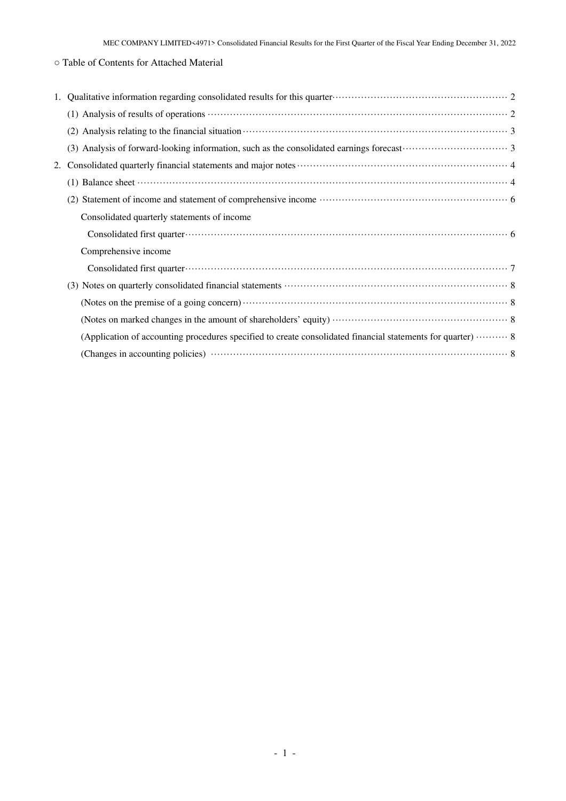# ○ Table of Contents for Attached Material

| 2. |                                                                                                                                                                                                                                                                                             |
|----|---------------------------------------------------------------------------------------------------------------------------------------------------------------------------------------------------------------------------------------------------------------------------------------------|
|    | (1) Balance sheet $\cdots$ and $\cdots$ and $\cdots$ and $\cdots$ and $\cdots$ and $\cdots$ and $\cdots$ and $\cdots$ and $\cdots$ and $\cdots$ and $\cdots$ and $\cdots$ and $\cdots$ and $\cdots$ and $\cdots$ and $\cdots$ and $\cdots$ and $\cdots$ and $\cdots$ and $\cdots$ and $\cd$ |
|    |                                                                                                                                                                                                                                                                                             |
|    | Consolidated quarterly statements of income                                                                                                                                                                                                                                                 |
|    |                                                                                                                                                                                                                                                                                             |
|    | Comprehensive income                                                                                                                                                                                                                                                                        |
|    |                                                                                                                                                                                                                                                                                             |
|    |                                                                                                                                                                                                                                                                                             |
|    |                                                                                                                                                                                                                                                                                             |
|    |                                                                                                                                                                                                                                                                                             |
|    | (Application of accounting procedures specified to create consolidated financial statements for quarter)  8                                                                                                                                                                                 |
|    |                                                                                                                                                                                                                                                                                             |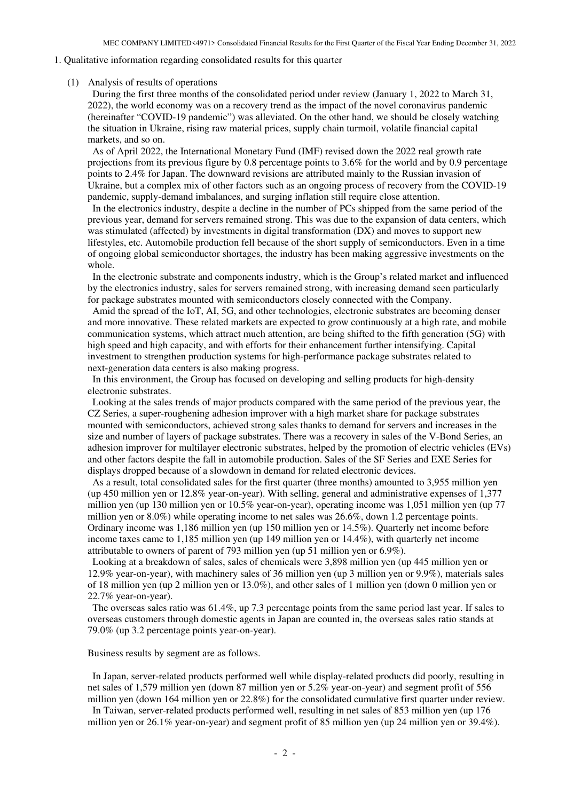### 1. Qualitative information regarding consolidated results for this quarter

#### (1) Analysis of results of operations

During the first three months of the consolidated period under review (January 1, 2022 to March 31, 2022), the world economy was on a recovery trend as the impact of the novel coronavirus pandemic (hereinafter "COVID-19 pandemic") was alleviated. On the other hand, we should be closely watching the situation in Ukraine, rising raw material prices, supply chain turmoil, volatile financial capital markets, and so on.

As of April 2022, the International Monetary Fund (IMF) revised down the 2022 real growth rate projections from its previous figure by 0.8 percentage points to 3.6% for the world and by 0.9 percentage points to 2.4% for Japan. The downward revisions are attributed mainly to the Russian invasion of Ukraine, but a complex mix of other factors such as an ongoing process of recovery from the COVID-19 pandemic, supply-demand imbalances, and surging inflation still require close attention.

In the electronics industry, despite a decline in the number of PCs shipped from the same period of the previous year, demand for servers remained strong. This was due to the expansion of data centers, which was stimulated (affected) by investments in digital transformation (DX) and moves to support new lifestyles, etc. Automobile production fell because of the short supply of semiconductors. Even in a time of ongoing global semiconductor shortages, the industry has been making aggressive investments on the whole.

In the electronic substrate and components industry, which is the Group's related market and influenced by the electronics industry, sales for servers remained strong, with increasing demand seen particularly for package substrates mounted with semiconductors closely connected with the Company.

Amid the spread of the IoT, AI, 5G, and other technologies, electronic substrates are becoming denser and more innovative. These related markets are expected to grow continuously at a high rate, and mobile communication systems, which attract much attention, are being shifted to the fifth generation (5G) with high speed and high capacity, and with efforts for their enhancement further intensifying. Capital investment to strengthen production systems for high-performance package substrates related to next-generation data centers is also making progress.

In this environment, the Group has focused on developing and selling products for high-density electronic substrates.

Looking at the sales trends of major products compared with the same period of the previous year, the CZ Series, a super-roughening adhesion improver with a high market share for package substrates mounted with semiconductors, achieved strong sales thanks to demand for servers and increases in the size and number of layers of package substrates. There was a recovery in sales of the V-Bond Series, an adhesion improver for multilayer electronic substrates, helped by the promotion of electric vehicles (EVs) and other factors despite the fall in automobile production. Sales of the SF Series and EXE Series for displays dropped because of a slowdown in demand for related electronic devices.

As a result, total consolidated sales for the first quarter (three months) amounted to 3,955 million yen (up 450 million yen or 12.8% year-on-year). With selling, general and administrative expenses of 1,377 million yen (up 130 million yen or 10.5% year-on-year), operating income was 1,051 million yen (up 77 million yen or 8.0%) while operating income to net sales was 26.6%, down 1.2 percentage points. Ordinary income was 1,186 million yen (up 150 million yen or 14.5%). Quarterly net income before income taxes came to 1,185 million yen (up 149 million yen or 14.4%), with quarterly net income attributable to owners of parent of 793 million yen (up 51 million yen or 6.9%).

Looking at a breakdown of sales, sales of chemicals were 3,898 million yen (up 445 million yen or 12.9% year-on-year), with machinery sales of 36 million yen (up 3 million yen or 9.9%), materials sales of 18 million yen (up 2 million yen or 13.0%), and other sales of 1 million yen (down 0 million yen or 22.7% year-on-year).

The overseas sales ratio was 61.4%, up 7.3 percentage points from the same period last year. If sales to overseas customers through domestic agents in Japan are counted in, the overseas sales ratio stands at 79.0% (up 3.2 percentage points year-on-year).

Business results by segment are as follows.

In Japan, server-related products performed well while display-related products did poorly, resulting in net sales of 1,579 million yen (down 87 million yen or 5.2% year-on-year) and segment profit of 556 million yen (down 164 million yen or 22.8%) for the consolidated cumulative first quarter under review.

In Taiwan, server-related products performed well, resulting in net sales of 853 million yen (up 176 million yen or 26.1% year-on-year) and segment profit of 85 million yen (up 24 million yen or 39.4%).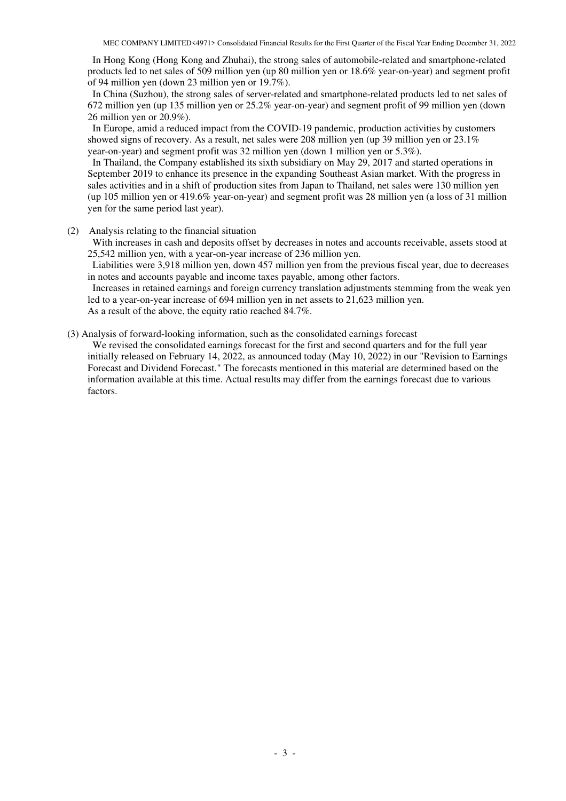In Hong Kong (Hong Kong and Zhuhai), the strong sales of automobile-related and smartphone-related products led to net sales of 509 million yen (up 80 million yen or 18.6% year-on-year) and segment profit of 94 million yen (down 23 million yen or 19.7%).

In China (Suzhou), the strong sales of server-related and smartphone-related products led to net sales of 672 million yen (up 135 million yen or 25.2% year-on-year) and segment profit of 99 million yen (down 26 million yen or 20.9%).

In Europe, amid a reduced impact from the COVID-19 pandemic, production activities by customers showed signs of recovery. As a result, net sales were 208 million yen (up 39 million yen or 23.1% year-on-year) and segment profit was 32 million yen (down 1 million yen or 5.3%).

In Thailand, the Company established its sixth subsidiary on May 29, 2017 and started operations in September 2019 to enhance its presence in the expanding Southeast Asian market. With the progress in sales activities and in a shift of production sites from Japan to Thailand, net sales were 130 million yen (up 105 million yen or 419.6% year-on-year) and segment profit was 28 million yen (a loss of 31 million yen for the same period last year).

(2) Analysis relating to the financial situation

With increases in cash and deposits offset by decreases in notes and accounts receivable, assets stood at 25,542 million yen, with a year-on-year increase of 236 million yen.

Liabilities were 3,918 million yen, down 457 million yen from the previous fiscal year, due to decreases in notes and accounts payable and income taxes payable, among other factors.

Increases in retained earnings and foreign currency translation adjustments stemming from the weak yen led to a year-on-year increase of 694 million yen in net assets to 21,623 million yen. As a result of the above, the equity ratio reached 84.7%.

(3) Analysis of forward-looking information, such as the consolidated earnings forecast

We revised the consolidated earnings forecast for the first and second quarters and for the full year initially released on February 14, 2022, as announced today (May 10, 2022) in our "Revision to Earnings Forecast and Dividend Forecast." The forecasts mentioned in this material are determined based on the information available at this time. Actual results may differ from the earnings forecast due to various factors.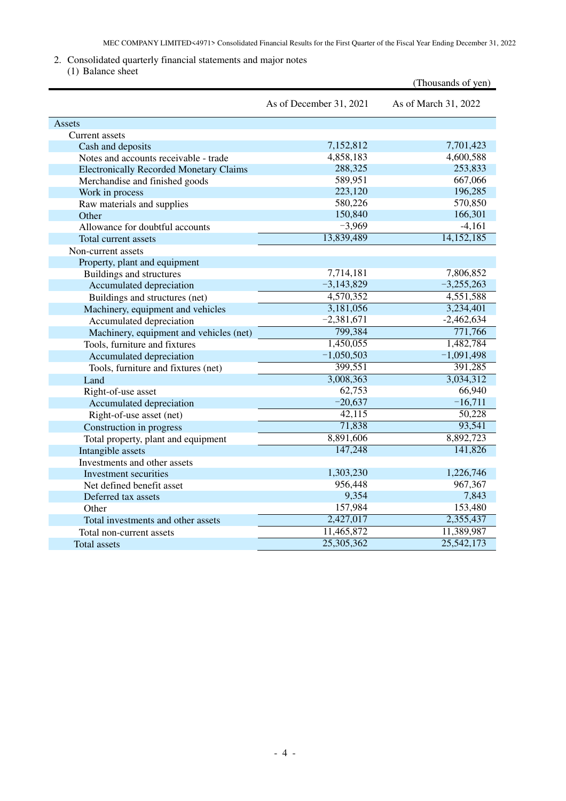## 2. Consolidated quarterly financial statements and major notes

(1) Balance sheet

| $\perp$ Danahoo shoo                           |                         | (Thousands of yen)   |
|------------------------------------------------|-------------------------|----------------------|
|                                                | As of December 31, 2021 | As of March 31, 2022 |
| Assets                                         |                         |                      |
| Current assets                                 |                         |                      |
| Cash and deposits                              | 7,152,812               | 7,701,423            |
| Notes and accounts receivable - trade          | 4,858,183               | 4,600,588            |
| <b>Electronically Recorded Monetary Claims</b> | 288,325                 | 253,833              |
| Merchandise and finished goods                 | 589,951                 | 667,066              |
| Work in process                                | 223,120                 | 196,285              |
| Raw materials and supplies                     | 580,226                 | 570,850              |
| Other                                          | 150,840                 | 166,301              |
| Allowance for doubtful accounts                | $-3,969$                | $-4,161$             |
| Total current assets                           | 13,839,489              | 14,152,185           |
| Non-current assets                             |                         |                      |
| Property, plant and equipment                  |                         |                      |
| Buildings and structures                       | 7,714,181               | 7,806,852            |
| Accumulated depreciation                       | $-3,143,829$            | $-3,255,263$         |
| Buildings and structures (net)                 | 4,570,352               | 4,551,588            |
| Machinery, equipment and vehicles              | 3,181,056               | 3,234,401            |
| Accumulated depreciation                       | $-2,381,671$            | $-2,462,634$         |
| Machinery, equipment and vehicles (net)        | 799,384                 | 771,766              |
| Tools, furniture and fixtures                  | 1,450,055               | 1,482,784            |
| Accumulated depreciation                       | $-1,050,503$            | $-1,091,498$         |
| Tools, furniture and fixtures (net)            | 399,551                 | 391,285              |
| Land                                           | 3,008,363               | 3,034,312            |
| Right-of-use asset                             | 62,753                  | 66,940               |
| Accumulated depreciation                       | $-20,637$               | $-16,711$            |
| Right-of-use asset (net)                       | 42,115                  | 50,228               |
| Construction in progress                       | 71,838                  | 93,541               |
| Total property, plant and equipment            | 8,891,606               | 8,892,723            |
| Intangible assets                              | 147,248                 | 141,826              |
| Investments and other assets                   |                         |                      |
| Investment securities                          | 1,303,230               | 1,226,746            |
| Net defined benefit asset                      | 956,448                 | 967,367              |
| Deferred tax assets                            | 9,354                   | 7,843                |
| Other                                          | 157,984                 | 153,480              |
| Total investments and other assets             | 2,427,017               | 2,355,437            |
| Total non-current assets                       | 11,465,872              | 11,389,987           |
| Total assets                                   | 25,305,362              | 25,542,173           |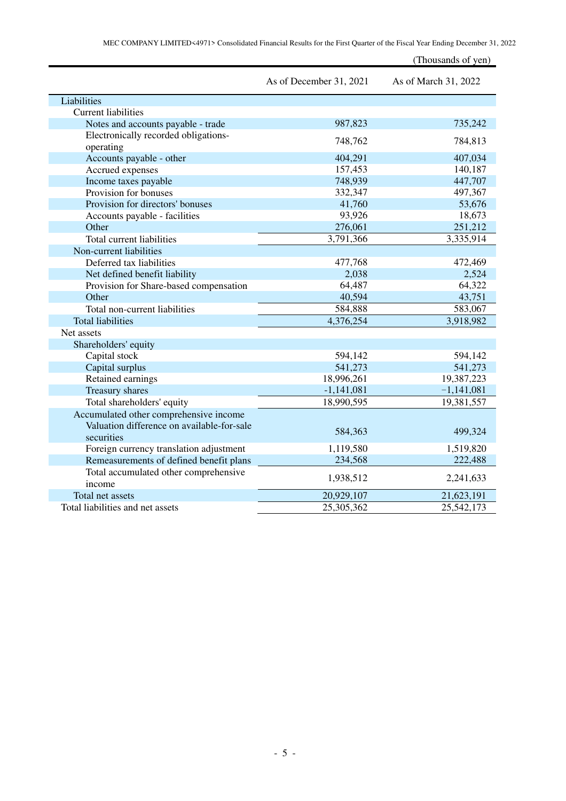|                                                   |                         | (Thousands of yen)   |
|---------------------------------------------------|-------------------------|----------------------|
|                                                   | As of December 31, 2021 | As of March 31, 2022 |
| Liabilities                                       |                         |                      |
| <b>Current liabilities</b>                        |                         |                      |
| Notes and accounts payable - trade                | 987,823                 | 735,242              |
| Electronically recorded obligations-<br>operating | 748,762                 | 784,813              |
| Accounts payable - other                          | 404,291                 | 407,034              |
| Accrued expenses                                  | 157,453                 | 140,187              |
| Income taxes payable                              | 748,939                 | 447,707              |
| Provision for bonuses                             | 332,347                 | 497,367              |
| Provision for directors' bonuses                  | 41,760                  | 53,676               |
| Accounts payable - facilities                     | 93,926                  | 18,673               |
| Other                                             | 276,061                 | 251,212              |
| Total current liabilities                         | 3,791,366               | 3,335,914            |
| Non-current liabilities                           |                         |                      |
| Deferred tax liabilities                          | 477,768                 | 472,469              |
| Net defined benefit liability                     | 2,038                   | 2,524                |
| Provision for Share-based compensation            | 64,487                  | 64,322               |
| Other                                             | 40,594                  | 43,751               |
| Total non-current liabilities                     | 584,888                 | 583,067              |
| <b>Total liabilities</b>                          | 4,376,254               | 3,918,982            |
| Net assets                                        |                         |                      |
| Shareholders' equity                              |                         |                      |
| Capital stock                                     | 594,142                 | 594,142              |
| Capital surplus                                   | 541,273                 | 541,273              |
| Retained earnings                                 | 18,996,261              | 19,387,223           |
| <b>Treasury shares</b>                            | $-1,141,081$            | $-1,141,081$         |
| Total shareholders' equity                        | 18,990,595              | 19,381,557           |
| Accumulated other comprehensive income            |                         |                      |
| Valuation difference on available-for-sale        |                         |                      |
| securities                                        | 584,363                 | 499,324              |
| Foreign currency translation adjustment           | 1,119,580               | 1,519,820            |
| Remeasurements of defined benefit plans           | 234,568                 | 222,488              |
| Total accumulated other comprehensive<br>income   | 1,938,512               | 2,241,633            |
| Total net assets                                  | 20,929,107              | 21,623,191           |
| Total liabilities and net assets                  | 25,305,362              | 25,542,173           |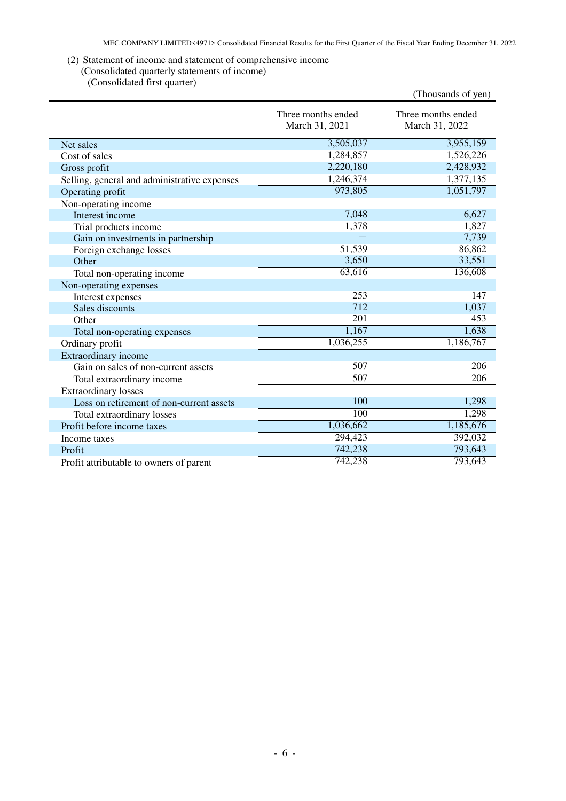### (2) Statement of income and statement of comprehensive income

## (Consolidated quarterly statements of income)

(Consolidated first quarter)

| Three months ended<br>March 31, 2021 | Three months ended<br>March 31, 2022                                                                                                                                                         |
|--------------------------------------|----------------------------------------------------------------------------------------------------------------------------------------------------------------------------------------------|
| 3,505,037                            | 3,955,159                                                                                                                                                                                    |
| 1,284,857                            | 1,526,226                                                                                                                                                                                    |
| 2,220,180                            | 2,428,932                                                                                                                                                                                    |
| 1,246,374                            | 1,377,135                                                                                                                                                                                    |
|                                      | 1,051,797                                                                                                                                                                                    |
|                                      |                                                                                                                                                                                              |
| 7,048                                | 6,627                                                                                                                                                                                        |
|                                      | 1,827                                                                                                                                                                                        |
|                                      | 7,739                                                                                                                                                                                        |
|                                      | 86,862                                                                                                                                                                                       |
|                                      | 33,551                                                                                                                                                                                       |
|                                      | 136,608                                                                                                                                                                                      |
|                                      |                                                                                                                                                                                              |
|                                      | 147                                                                                                                                                                                          |
|                                      | 1,037                                                                                                                                                                                        |
|                                      | 453                                                                                                                                                                                          |
|                                      | 1,638                                                                                                                                                                                        |
|                                      | 1,186,767                                                                                                                                                                                    |
|                                      |                                                                                                                                                                                              |
|                                      | 206                                                                                                                                                                                          |
|                                      | 206                                                                                                                                                                                          |
|                                      |                                                                                                                                                                                              |
|                                      | 1,298                                                                                                                                                                                        |
|                                      | 1,298                                                                                                                                                                                        |
|                                      | 1,185,676                                                                                                                                                                                    |
|                                      | 392,032                                                                                                                                                                                      |
|                                      | 793,643                                                                                                                                                                                      |
|                                      | 793,643                                                                                                                                                                                      |
|                                      | 973,805<br>1,378<br>51,539<br>3,650<br>63,616<br>253<br>712<br>201<br>1,167<br>1,036,255<br>507<br>507<br>100<br>$\overline{100}$<br>1,036,662<br>294,423<br>742,238<br>$\overline{742,}238$ |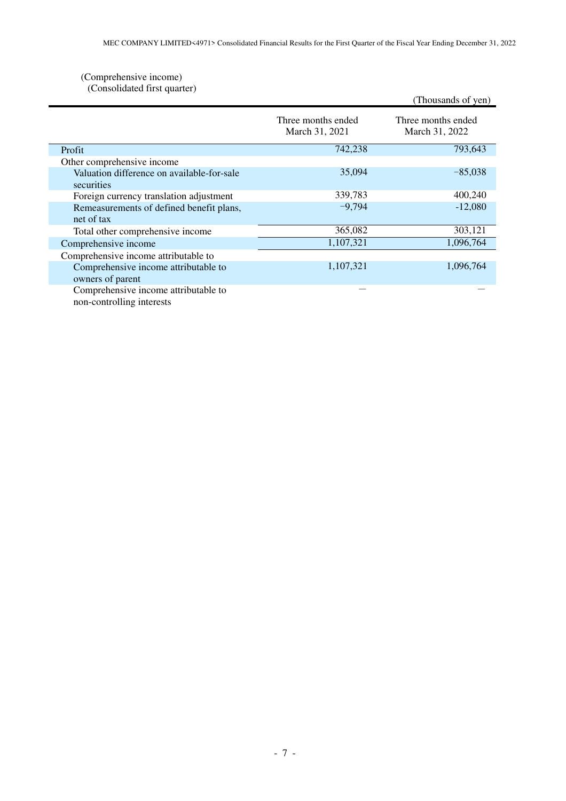### (Comprehensive income) (Consolidated first quarter)

| $\overline{C}$                             |                                      | (Thousands of yen)                   |
|--------------------------------------------|--------------------------------------|--------------------------------------|
|                                            | Three months ended<br>March 31, 2021 | Three months ended<br>March 31, 2022 |
| Profit                                     | 742,238                              | 793,643                              |
| Other comprehensive income                 |                                      |                                      |
| Valuation difference on available-for-sale | 35,094                               | $-85,038$                            |
| securities                                 |                                      |                                      |
| Foreign currency translation adjustment    | 339,783                              | 400,240                              |
| Remeasurements of defined benefit plans,   | $-9,794$                             | $-12,080$                            |
| net of tax                                 |                                      |                                      |
| Total other comprehensive income           | 365,082                              | 303,121                              |
| Comprehensive income                       | 1,107,321                            | 1,096,764                            |
| Comprehensive income attributable to       |                                      |                                      |
| Comprehensive income attributable to       | 1,107,321                            | 1,096,764                            |
| owners of parent                           |                                      |                                      |
| Comprehensive income attributable to       |                                      |                                      |
| non-controlling interests                  |                                      |                                      |